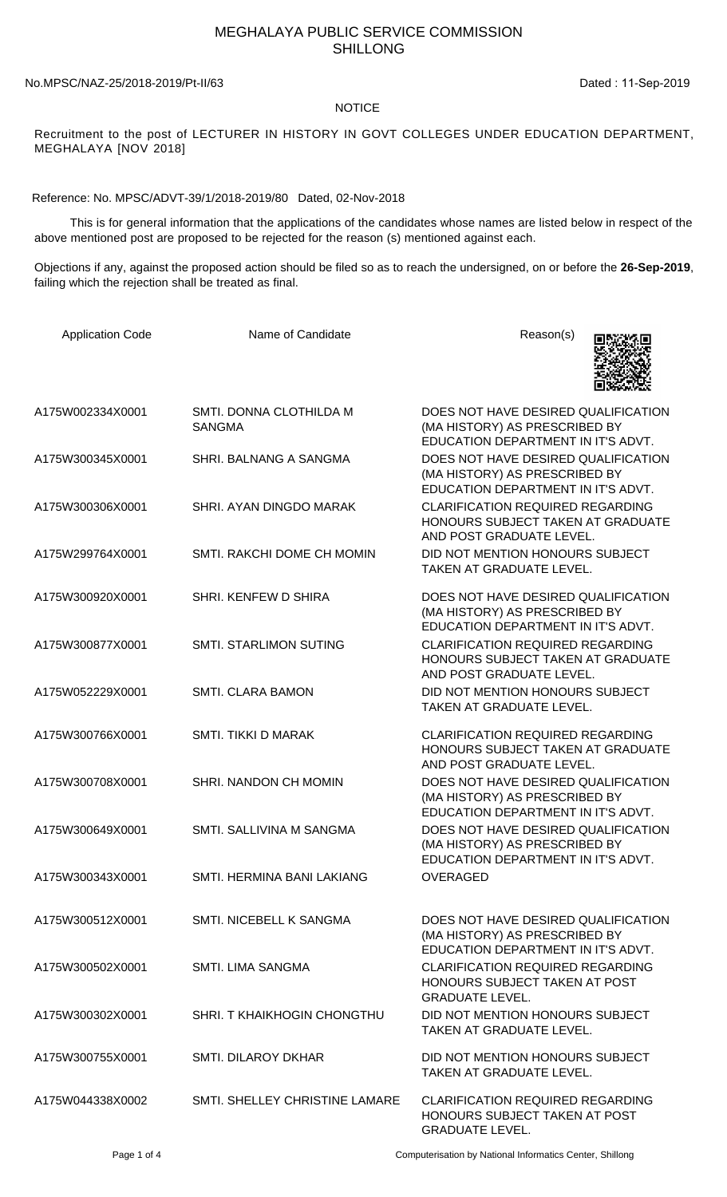## MEGHALAYA PUBLIC SERVICE COMMISSION SHILLONG

No.MPSC/NAZ-25/2018-2019/Pt-II/63 Dated : 11-Sep-2019

## NOTICE

Recruitment to the post of LECTURER IN HISTORY IN GOVT COLLEGES UNDER EDUCATION DEPARTMENT, MEGHALAYA [NOV 2018]

Reference: No. MPSC/ADVT-39/1/2018-2019/80 Dated, 02-Nov-2018

 This is for general information that the applications of the candidates whose names are listed below in respect of the above mentioned post are proposed to be rejected for the reason (s) mentioned against each.

Objections if any, against the proposed action should be filed so as to reach the undersigned, on or before the **26-Sep-2019**, failing which the rejection shall be treated as final.

| <b>Application Code</b> | Name of Candidate                        | Reason(s)                                                                                                  |
|-------------------------|------------------------------------------|------------------------------------------------------------------------------------------------------------|
| A175W002334X0001        | SMTI. DONNA CLOTHILDA M<br><b>SANGMA</b> | DOES NOT HAVE DESIRED QUALIFICATION<br>(MA HISTORY) AS PRESCRIBED BY<br>EDUCATION DEPARTMENT IN IT'S ADVT. |
| A175W300345X0001        | SHRI. BALNANG A SANGMA                   | DOES NOT HAVE DESIRED QUALIFICATION<br>(MA HISTORY) AS PRESCRIBED BY<br>EDUCATION DEPARTMENT IN IT'S ADVT. |
| A175W300306X0001        | SHRI. AYAN DINGDO MARAK                  | <b>CLARIFICATION REQUIRED REGARDING</b><br>HONOURS SUBJECT TAKEN AT GRADUATE<br>AND POST GRADUATE LEVEL.   |
| A175W299764X0001        | SMTI. RAKCHI DOME CH MOMIN               | DID NOT MENTION HONOURS SUBJECT<br>TAKEN AT GRADUATE LEVEL.                                                |
| A175W300920X0001        | SHRI. KENFEW D SHIRA                     | DOES NOT HAVE DESIRED QUALIFICATION<br>(MA HISTORY) AS PRESCRIBED BY<br>EDUCATION DEPARTMENT IN IT'S ADVT. |
| A175W300877X0001        | <b>SMTI. STARLIMON SUTING</b>            | <b>CLARIFICATION REQUIRED REGARDING</b><br>HONOURS SUBJECT TAKEN AT GRADUATE<br>AND POST GRADUATE LEVEL.   |
| A175W052229X0001        | <b>SMTI. CLARA BAMON</b>                 | DID NOT MENTION HONOURS SUBJECT<br>TAKEN AT GRADUATE LEVEL.                                                |
| A175W300766X0001        | SMTI. TIKKI D MARAK                      | <b>CLARIFICATION REQUIRED REGARDING</b><br>HONOURS SUBJECT TAKEN AT GRADUATE<br>AND POST GRADUATE LEVEL.   |
| A175W300708X0001        | SHRI. NANDON CH MOMIN                    | DOES NOT HAVE DESIRED QUALIFICATION<br>(MA HISTORY) AS PRESCRIBED BY<br>EDUCATION DEPARTMENT IN IT'S ADVT. |
| A175W300649X0001        | SMTI. SALLIVINA M SANGMA                 | DOES NOT HAVE DESIRED QUALIFICATION<br>(MA HISTORY) AS PRESCRIBED BY<br>EDUCATION DEPARTMENT IN IT'S ADVT. |
| A175W300343X0001        | SMTI. HERMINA BANI LAKIANG               | <b>OVERAGED</b>                                                                                            |
| A175W300512X0001        | SMTI. NICEBELL K SANGMA                  | DOES NOT HAVE DESIRED QUALIFICATION<br>(MA HISTORY) AS PRESCRIBED BY<br>EDUCATION DEPARTMENT IN IT'S ADVT. |
| A175W300502X0001        | SMTI. LIMA SANGMA                        | <b>CLARIFICATION REQUIRED REGARDING</b><br>HONOURS SUBJECT TAKEN AT POST<br><b>GRADUATE LEVEL.</b>         |
| A175W300302X0001        | SHRI. T KHAIKHOGIN CHONGTHU              | DID NOT MENTION HONOURS SUBJECT<br>TAKEN AT GRADUATE LEVEL.                                                |
| A175W300755X0001        | SMTI. DILAROY DKHAR                      | DID NOT MENTION HONOURS SUBJECT<br>TAKEN AT GRADUATE LEVEL.                                                |
| A175W044338X0002        | SMTI. SHELLEY CHRISTINE LAMARE           | <b>CLARIFICATION REQUIRED REGARDING</b><br>HONOURS SUBJECT TAKEN AT POST<br><b>GRADUATE LEVEL.</b>         |

Page 1 of 4 Computerisation by National Informatics Center, Shillong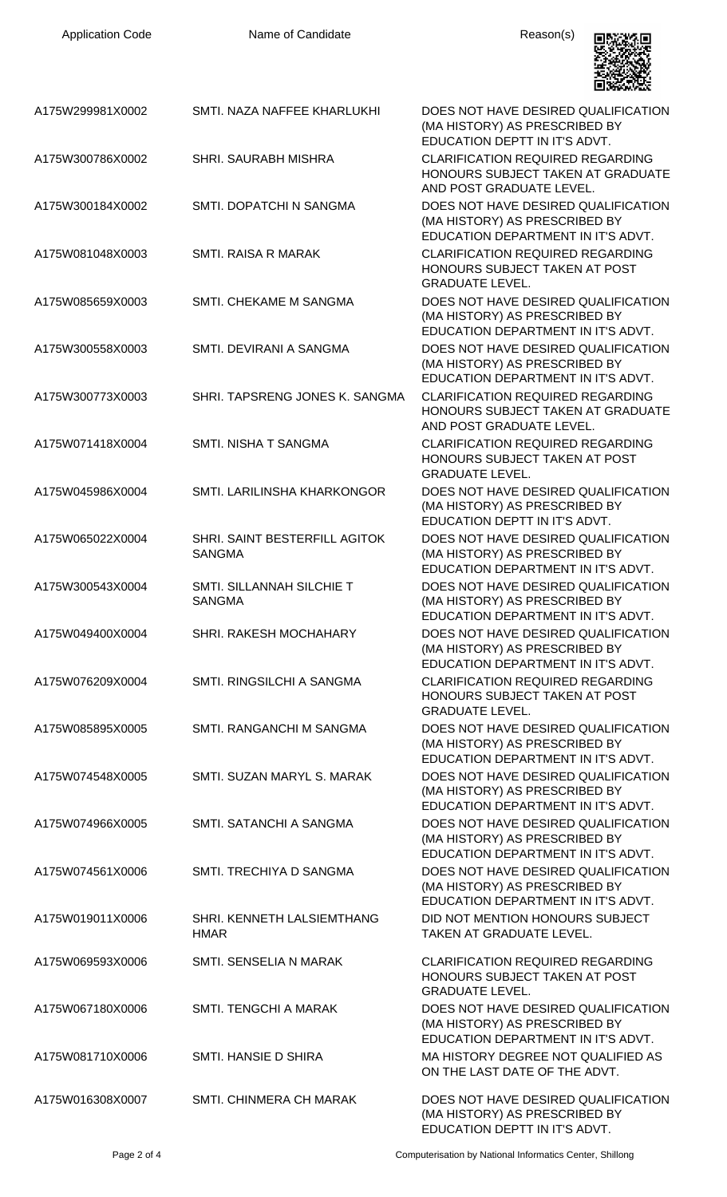

| A175W299981X0002 | SMTI. NAZA NAFFEE KHARLUKHI                    | DOES NOT HAVE DESIRED QUALIFICATION<br>(MA HISTORY) AS PRESCRIBED BY<br>EDUCATION DEPTT IN IT'S ADVT.      |
|------------------|------------------------------------------------|------------------------------------------------------------------------------------------------------------|
| A175W300786X0002 | <b>SHRI, SAURABH MISHRA</b>                    | <b>CLARIFICATION REQUIRED REGARDING</b><br>HONOURS SUBJECT TAKEN AT GRADUATE<br>AND POST GRADUATE LEVEL.   |
| A175W300184X0002 | SMTI. DOPATCHI N SANGMA                        | DOES NOT HAVE DESIRED QUALIFICATION<br>(MA HISTORY) AS PRESCRIBED BY<br>EDUCATION DEPARTMENT IN IT'S ADVT. |
| A175W081048X0003 | SMTI. RAISA R MARAK                            | <b>CLARIFICATION REQUIRED REGARDING</b><br>HONOURS SUBJECT TAKEN AT POST<br><b>GRADUATE LEVEL.</b>         |
| A175W085659X0003 | SMTI. CHEKAME M SANGMA                         | DOES NOT HAVE DESIRED QUALIFICATION<br>(MA HISTORY) AS PRESCRIBED BY<br>EDUCATION DEPARTMENT IN IT'S ADVT. |
| A175W300558X0003 | SMTI. DEVIRANI A SANGMA                        | DOES NOT HAVE DESIRED QUALIFICATION<br>(MA HISTORY) AS PRESCRIBED BY<br>EDUCATION DEPARTMENT IN IT'S ADVT. |
| A175W300773X0003 | SHRI. TAPSRENG JONES K. SANGMA                 | <b>CLARIFICATION REQUIRED REGARDING</b><br>HONOURS SUBJECT TAKEN AT GRADUATE<br>AND POST GRADUATE LEVEL.   |
| A175W071418X0004 | <b>SMTI. NISHA T SANGMA</b>                    | <b>CLARIFICATION REQUIRED REGARDING</b><br>HONOURS SUBJECT TAKEN AT POST<br><b>GRADUATE LEVEL.</b>         |
| A175W045986X0004 | SMTI. LARILINSHA KHARKONGOR                    | DOES NOT HAVE DESIRED QUALIFICATION<br>(MA HISTORY) AS PRESCRIBED BY<br>EDUCATION DEPTT IN IT'S ADVT.      |
| A175W065022X0004 | SHRI. SAINT BESTERFILL AGITOK<br><b>SANGMA</b> | DOES NOT HAVE DESIRED QUALIFICATION<br>(MA HISTORY) AS PRESCRIBED BY<br>EDUCATION DEPARTMENT IN IT'S ADVT. |
| A175W300543X0004 | SMTI. SILLANNAH SILCHIE T<br><b>SANGMA</b>     | DOES NOT HAVE DESIRED QUALIFICATION<br>(MA HISTORY) AS PRESCRIBED BY<br>EDUCATION DEPARTMENT IN IT'S ADVT. |
| A175W049400X0004 | <b>SHRI. RAKESH MOCHAHARY</b>                  | DOES NOT HAVE DESIRED QUALIFICATION<br>(MA HISTORY) AS PRESCRIBED BY<br>EDUCATION DEPARTMENT IN IT'S ADVT. |
| A175W076209X0004 | SMTI. RINGSILCHI A SANGMA                      | <b>CLARIFICATION REQUIRED REGARDING</b><br>HONOURS SUBJECT TAKEN AT POST<br><b>GRADUATE LEVEL.</b>         |
| A175W085895X0005 | SMTI. RANGANCHI M SANGMA                       | DOES NOT HAVE DESIRED QUALIFICATION<br>(MA HISTORY) AS PRESCRIBED BY<br>EDUCATION DEPARTMENT IN IT'S ADVT. |
| A175W074548X0005 | SMTI, SUZAN MARYL S. MARAK                     | DOES NOT HAVE DESIRED QUALIFICATION<br>(MA HISTORY) AS PRESCRIBED BY<br>EDUCATION DEPARTMENT IN IT'S ADVT. |
| A175W074966X0005 | SMTI. SATANCHI A SANGMA                        | DOES NOT HAVE DESIRED QUALIFICATION<br>(MA HISTORY) AS PRESCRIBED BY<br>EDUCATION DEPARTMENT IN IT'S ADVT. |
| A175W074561X0006 | SMTI. TRECHIYA D SANGMA                        | DOES NOT HAVE DESIRED QUALIFICATION<br>(MA HISTORY) AS PRESCRIBED BY<br>EDUCATION DEPARTMENT IN IT'S ADVT. |
| A175W019011X0006 | SHRI. KENNETH LALSIEMTHANG<br><b>HMAR</b>      | DID NOT MENTION HONOURS SUBJECT<br>TAKEN AT GRADUATE LEVEL.                                                |
| A175W069593X0006 | SMTI. SENSELIA N MARAK                         | <b>CLARIFICATION REQUIRED REGARDING</b><br>HONOURS SUBJECT TAKEN AT POST<br><b>GRADUATE LEVEL.</b>         |
| A175W067180X0006 | SMTI. TENGCHI A MARAK                          | DOES NOT HAVE DESIRED QUALIFICATION<br>(MA HISTORY) AS PRESCRIBED BY<br>EDUCATION DEPARTMENT IN IT'S ADVT. |
| A175W081710X0006 | SMTI. HANSIE D SHIRA                           | MA HISTORY DEGREE NOT QUALIFIED AS<br>ON THE LAST DATE OF THE ADVT.                                        |
| A175W016308X0007 | <b>SMTI. CHINMERA CH MARAK</b>                 | DOES NOT HAVE DESIRED QUALIFICATION<br>(MA HISTORY) AS PRESCRIBED BY<br>EDUCATION DEPTT IN IT'S ADVT.      |

Page 2 of 4 Computerisation by National Informatics Center, Shillong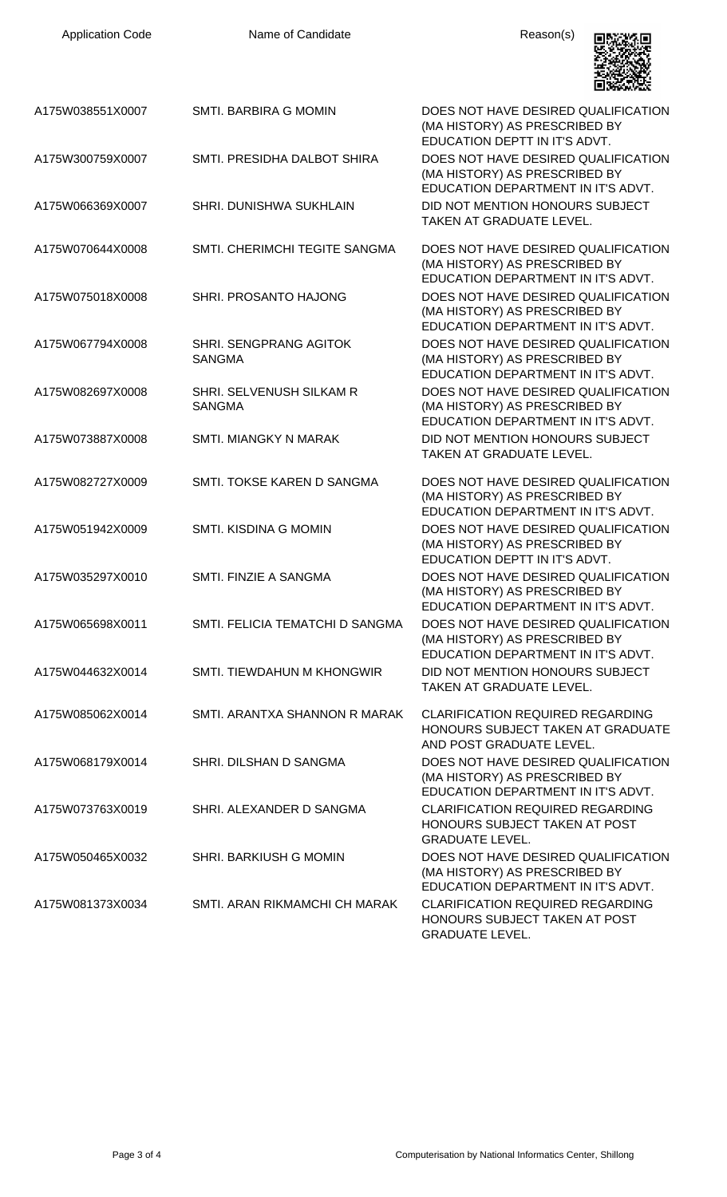| <b>Application Code</b> | Name of Candidate                         | Reason(s)                                                                                                  |
|-------------------------|-------------------------------------------|------------------------------------------------------------------------------------------------------------|
| A175W038551X0007        | <b>SMTI, BARBIRA G MOMIN</b>              | DOES NOT HAVE DESIRED QUALIFICATION<br>(MA HISTORY) AS PRESCRIBED BY<br>EDUCATION DEPTT IN IT'S ADVT.      |
| A175W300759X0007        | SMTI. PRESIDHA DALBOT SHIRA               | DOES NOT HAVE DESIRED QUALIFICATION<br>(MA HISTORY) AS PRESCRIBED BY<br>EDUCATION DEPARTMENT IN IT'S ADVT. |
| A175W066369X0007        | SHRI. DUNISHWA SUKHLAIN                   | DID NOT MENTION HONOURS SUBJECT<br>TAKEN AT GRADUATE LEVEL.                                                |
| A175W070644X0008        | SMTI. CHERIMCHI TEGITE SANGMA             | DOES NOT HAVE DESIRED QUALIFICATION<br>(MA HISTORY) AS PRESCRIBED BY<br>EDUCATION DEPARTMENT IN IT'S ADVT. |
| A175W075018X0008        | SHRI. PROSANTO HAJONG                     | DOES NOT HAVE DESIRED QUALIFICATION<br>(MA HISTORY) AS PRESCRIBED BY<br>EDUCATION DEPARTMENT IN IT'S ADVT. |
| A175W067794X0008        | SHRI. SENGPRANG AGITOK<br><b>SANGMA</b>   | DOES NOT HAVE DESIRED QUALIFICATION<br>(MA HISTORY) AS PRESCRIBED BY<br>EDUCATION DEPARTMENT IN IT'S ADVT. |
| A175W082697X0008        | SHRI. SELVENUSH SILKAM R<br><b>SANGMA</b> | DOES NOT HAVE DESIRED QUALIFICATION<br>(MA HISTORY) AS PRESCRIBED BY<br>EDUCATION DEPARTMENT IN IT'S ADVT. |
| A175W073887X0008        | <b>SMTI. MIANGKY N MARAK</b>              | DID NOT MENTION HONOURS SUBJECT<br>TAKEN AT GRADUATE LEVEL.                                                |
| A175W082727X0009        | SMTI. TOKSE KAREN D SANGMA                | DOES NOT HAVE DESIRED QUALIFICATION<br>(MA HISTORY) AS PRESCRIBED BY<br>EDUCATION DEPARTMENT IN IT'S ADVT. |
| A175W051942X0009        | SMTI. KISDINA G MOMIN                     | DOES NOT HAVE DESIRED QUALIFICATION<br>(MA HISTORY) AS PRESCRIBED BY<br>EDUCATION DEPTT IN IT'S ADVT.      |
| A175W035297X0010        | SMTI. FINZIE A SANGMA                     | DOES NOT HAVE DESIRED QUALIFICATION<br>(MA HISTORY) AS PRESCRIBED BY<br>EDUCATION DEPARTMENT IN IT'S ADVT. |
| A175W065698X0011        | SMTI. FELICIA TEMATCHI D SANGMA           | DOES NOT HAVE DESIRED QUALIFICATION<br>(MA HISTORY) AS PRESCRIBED BY<br>EDUCATION DEPARTMENT IN IT'S ADVT. |
| A175W044632X0014        | SMTI. TIEWDAHUN M KHONGWIR                | DID NOT MENTION HONOURS SUBJECT<br>TAKEN AT GRADUATE LEVEL.                                                |
| A175W085062X0014        | SMTI. ARANTXA SHANNON R MARAK             | <b>CLARIFICATION REQUIRED REGARDING</b><br>HONOURS SUBJECT TAKEN AT GRADUATE<br>AND POST GRADUATE LEVEL.   |
| A175W068179X0014        | SHRI. DILSHAN D SANGMA                    | DOES NOT HAVE DESIRED QUALIFICATION<br>(MA HISTORY) AS PRESCRIBED BY<br>EDUCATION DEPARTMENT IN IT'S ADVT. |
| A175W073763X0019        | SHRI. ALEXANDER D SANGMA                  | <b>CLARIFICATION REQUIRED REGARDING</b><br>HONOURS SUBJECT TAKEN AT POST<br><b>GRADUATE LEVEL.</b>         |
| A175W050465X0032        | SHRI. BARKIUSH G MOMIN                    | DOES NOT HAVE DESIRED QUALIFICATION<br>(MA HISTORY) AS PRESCRIBED BY<br>EDUCATION DEPARTMENT IN IT'S ADVT. |
| A175W081373X0034        | SMTI, ARAN RIKMAMCHI CH MARAK             | <b>CLARIFICATION REQUIRED REGARDING</b><br>HONOURS SUBJECT TAKEN AT POST<br><b>GRADUATE LEVEL.</b>         |